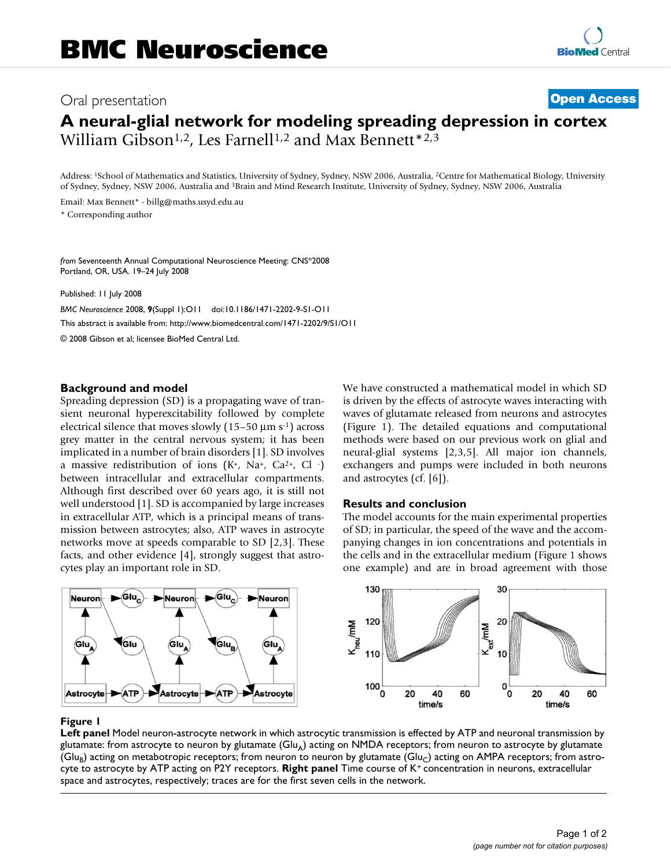# Oral presentation **[Open Access](http://www.biomedcentral.com/info/about/charter/) A neural-glial network for modeling spreading depression in cortex** William Gibson<sup>1,2</sup>, Les Farnell<sup>1,2</sup> and Max Bennett<sup>\*2,3</sup>

Address: 1School of Mathematics and Statistics, University of Sydney, Sydney, NSW 2006, Australia, 2Centre for Mathematical Biology, University of Sydney, Sydney, NSW 2006, Australia and 3Brain and Mind Research Institute, University of Sydney, Sydney, NSW 2006, Australia

Email: Max Bennett\* - billg@maths.usyd.edu.au

\* Corresponding author

*from* Seventeenth Annual Computational Neuroscience Meeting: CNS\*2008 Portland, OR, USA. 19–24 July 2008

Published: 11 July 2008

*BMC Neuroscience* 2008, **9**(Suppl 1):O11 doi:10.1186/1471-2202-9-S1-O11 [This abstract is available from: http://www.biomedcentral.com/1471-2202/9/S1/O11](http://www.biomedcentral.com/1471-2202/9/S1/O11) © 2008 Gibson et al; licensee BioMed Central Ltd.

#### **Background and model**

Spreading depression (SD) is a propagating wave of transient neuronal hyperexcitability followed by complete electrical silence that moves slowly  $(15-50 \,\mu m s^{-1})$  across grey matter in the central nervous system; it has been implicated in a number of brain disorders [1]. SD involves a massive redistribution of ions  $(K^+, Na^+, Ca^{2+}, Cl^-)$ between intracellular and extracellular compartments. Although first described over 60 years ago, it is still not well understood [1]. SD is accompanied by large increases in extracellular ATP, which is a principal means of transmission between astrocytes; also, ATP waves in astrocyte networks move at speeds comparable to SD [2,3]. These facts, and other evidence [4], strongly suggest that astrocytes play an important role in SD.

We have constructed a mathematical model in which SD is driven by the effects of astrocyte waves interacting with waves of glutamate released from neurons and astrocytes (Figure 1). The detailed equations and computational methods were based on our previous work on glial and neural-glial systems [2,3,5]. All major ion channels, exchangers and pumps were included in both neurons and astrocytes (cf. [6]).

#### **Results and conclusion**

The model accounts for the main experimental properties of SD; in particular, the speed of the wave and the accompanying changes in ion concentrations and potentials in the cells and in the extracellular medium (Figure 1 shows one example) and are in broad agreement with those





## **Exercise Exercise Exercise Service Service Service Service Service Service Service Service Service Service Service Service Service Service Service Service Service Service Service Service Service Service Service Service Se**

**Left panel** Model neuron-astrocyte network in which astrocytic transmission is effected by ATP and neuronal transmission by glutamate: from astrocyte to neuron by glutamate  $(Glu_A)$  acting on NMDA receptors; from neuron to astrocyte by glutamate  $(Glu_B)$  acting on metabotropic receptors; from neuron to neuron by glutamate  $(Glu_C)$  acting on AMPA receptors; from astrocyte to astrocyte by ATP acting on P2Y receptors. **Right panel** Time course of K+ concentration in neurons, extracellular space and astrocytes, respectively; traces are for the first seven cells in the network.